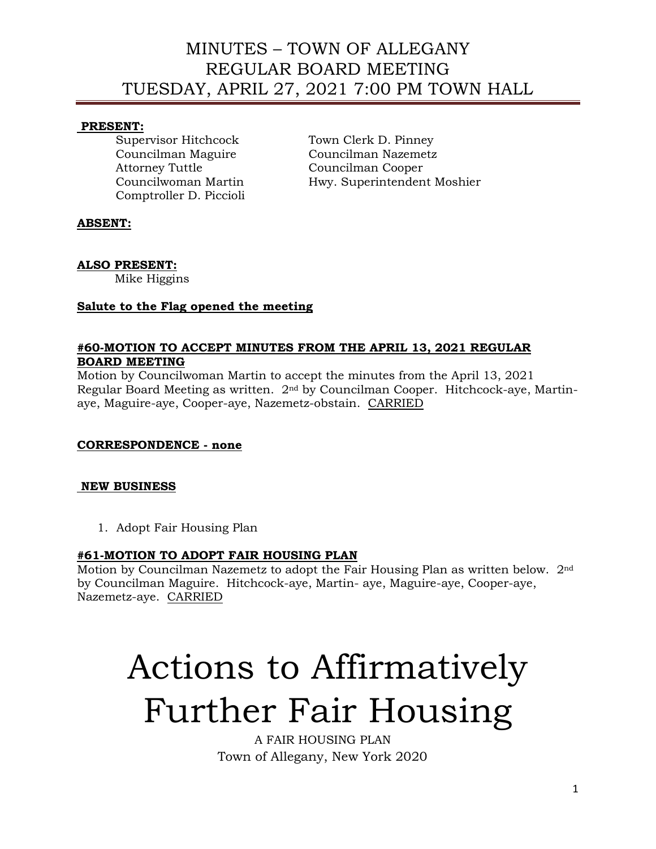### **PRESENT:**

Supervisor Hitchcock Town Clerk D. Pinney Attorney Tuttle Councilman Cooper Comptroller D. Piccioli

Councilman Maguire Councilman Nazemetz Councilwoman Martin Hwy. Superintendent Moshier

# **ABSENT:**

## **ALSO PRESENT:**

Mike Higgins

## **Salute to the Flag opened the meeting**

#### **#60-MOTION TO ACCEPT MINUTES FROM THE APRIL 13, 2021 REGULAR BOARD MEETING**

Motion by Councilwoman Martin to accept the minutes from the April 13, 2021 Regular Board Meeting as written. 2nd by Councilman Cooper. Hitchcock-aye, Martinaye, Maguire-aye, Cooper-aye, Nazemetz-obstain. CARRIED

## **CORRESPONDENCE - none**

## **NEW BUSINESS**

1. Adopt Fair Housing Plan

## **#61-MOTION TO ADOPT FAIR HOUSING PLAN**

Motion by Councilman Nazemetz to adopt the Fair Housing Plan as written below. 2nd by Councilman Maguire. Hitchcock-aye, Martin- aye, Maguire-aye, Cooper-aye, Nazemetz-aye. CARRIED

# Actions to Affirmatively Further Fair Housing

A FAIR HOUSING PLAN Town of Allegany, New York 2020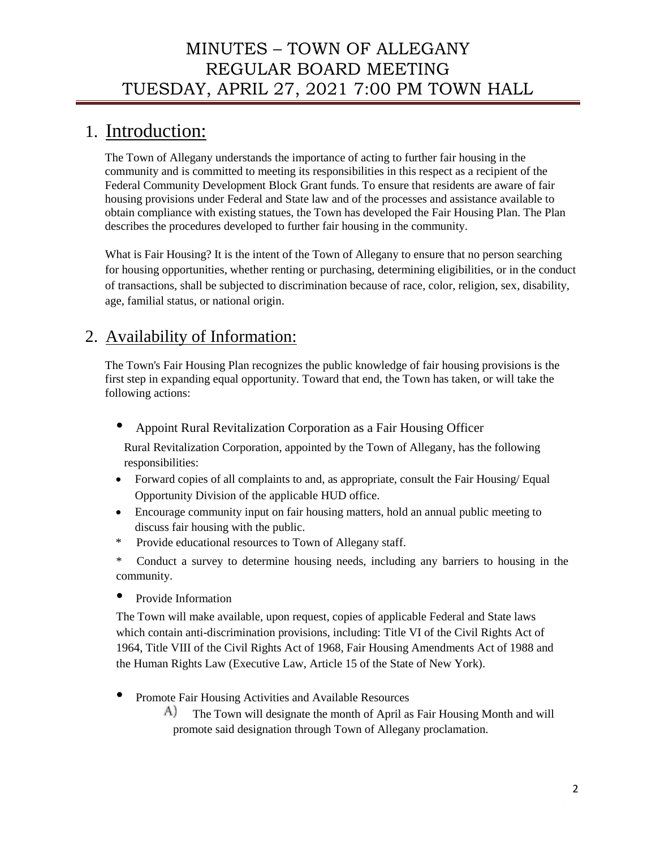# 1. Introduction:

The Town of Allegany understands the importance of acting to further fair housing in the community and is committed to meeting its responsibilities in this respect as a recipient of the Federal Community Development Block Grant funds. To ensure that residents are aware of fair housing provisions under Federal and State law and of the processes and assistance available to obtain compliance with existing statues, the Town has developed the Fair Housing Plan. The Plan describes the procedures developed to further fair housing in the community.

What is Fair Housing? It is the intent of the Town of Allegany to ensure that no person searching for housing opportunities, whether renting or purchasing, determining eligibilities, or in the conduct of transactions, shall be subjected to discrimination because of race, color, religion, sex, disability, age, familial status, or national origin.

# 2. Availability of Information:

The Town's Fair Housing Plan recognizes the public knowledge of fair housing provisions is the first step in expanding equal opportunity. Toward that end, the Town has taken, or will take the following actions:

• Appoint Rural Revitalization Corporation as a Fair Housing Officer

Rural Revitalization Corporation, appointed by the Town of Allegany, has the following responsibilities:

- Forward copies of all complaints to and, as appropriate, consult the Fair Housing/ Equal Opportunity Division of the applicable HUD office.
- Encourage community input on fair housing matters, hold an annual public meeting to discuss fair housing with the public.
- \* Provide educational resources to Town of Allegany staff.

\* Conduct a survey to determine housing needs, including any barriers to housing in the community.

• Provide Information

The Town will make available, upon request, copies of applicable Federal and State laws which contain anti-discrimination provisions, including: Title VI of the Civil Rights Act of 1964, Title VIII of the Civil Rights Act of 1968, Fair Housing Amendments Act of 1988 and the Human Rights Law (Executive Law, Article 15 of the State of New York).

- Promote Fair Housing Activities and Available Resources
	- A) The Town will designate the month of April as Fair Housing Month and will promote said designation through Town of Allegany proclamation.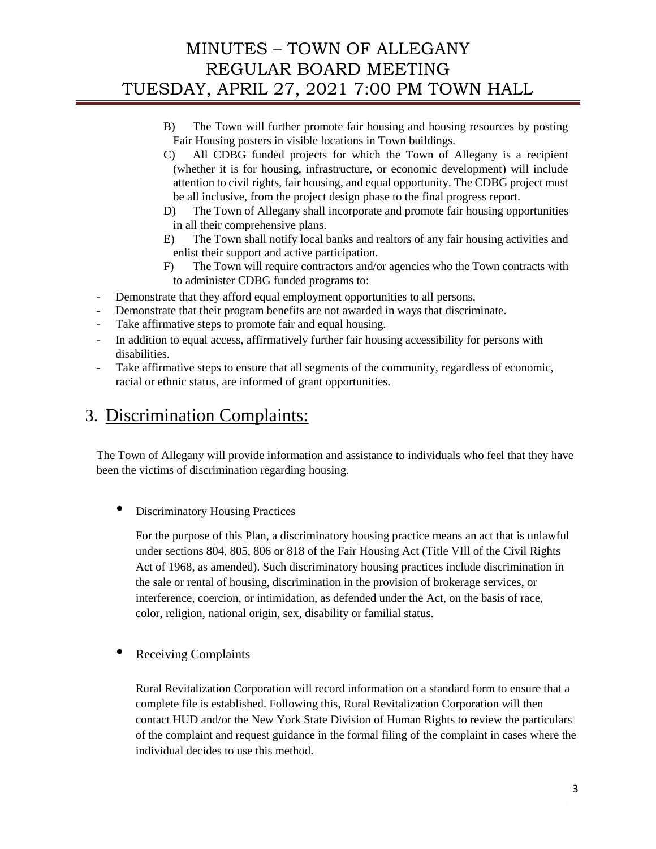- B) The Town will further promote fair housing and housing resources by posting Fair Housing posters in visible locations in Town buildings.
- C) All CDBG funded projects for which the Town of Allegany is a recipient (whether it is for housing, infrastructure, or economic development) will include attention to civil rights, fair housing, and equal opportunity. The CDBG project must be all inclusive, from the project design phase to the final progress report.
- D) The Town of Allegany shall incorporate and promote fair housing opportunities in all their comprehensive plans.
- E) The Town shall notify local banks and realtors of any fair housing activities and enlist their support and active participation.
- F) The Town will require contractors and/or agencies who the Town contracts with to administer CDBG funded programs to:
- Demonstrate that they afford equal employment opportunities to all persons.
- Demonstrate that their program benefits are not awarded in ways that discriminate.
- Take affirmative steps to promote fair and equal housing.
- In addition to equal access, affirmatively further fair housing accessibility for persons with disabilities.
- Take affirmative steps to ensure that all segments of the community, regardless of economic, racial or ethnic status, are informed of grant opportunities.

# 3. Discrimination Complaints:

The Town of Allegany will provide information and assistance to individuals who feel that they have been the victims of discrimination regarding housing.

• Discriminatory Housing Practices

For the purpose of this Plan, a discriminatory housing practice means an act that is unlawful under sections 804, 805, 806 or 818 of the Fair Housing Act (Title VIll of the Civil Rights Act of 1968, as amended). Such discriminatory housing practices include discrimination in the sale or rental of housing, discrimination in the provision of brokerage services, or interference, coercion, or intimidation, as defended under the Act, on the basis of race, color, religion, national origin, sex, disability or familial status.

• Receiving Complaints

Rural Revitalization Corporation will record information on a standard form to ensure that a complete file is established. Following this, Rural Revitalization Corporation will then contact HUD and/or the New York State Division of Human Rights to review the particulars of the complaint and request guidance in the formal filing of the complaint in cases where the individual decides to use this method.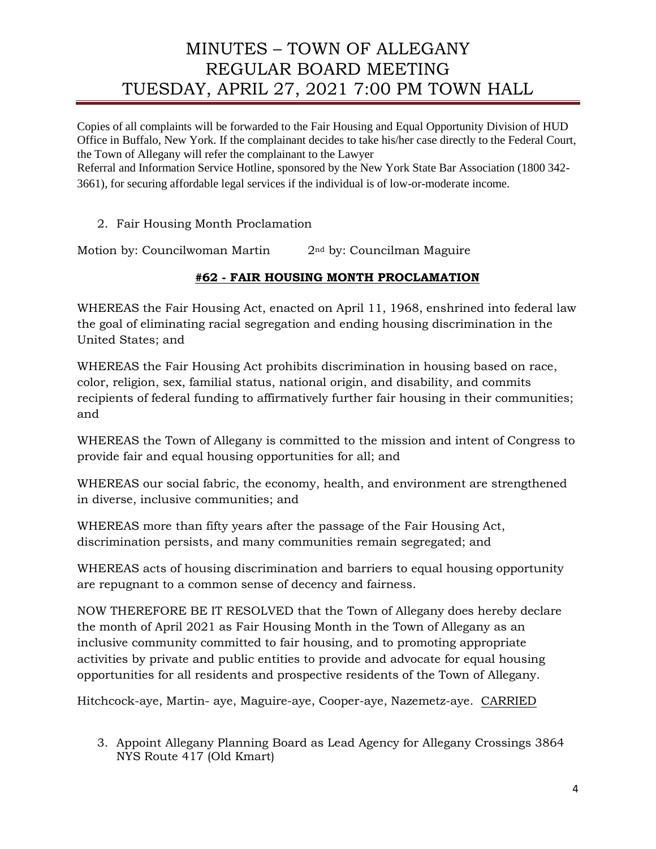Copies of all complaints will be forwarded to the Fair Housing and Equal Opportunity Division of HUD Office in Buffalo, New York. If the complainant decides to take his/her case directly to the Federal Court, the Town of Allegany will refer the complainant to the Lawyer

Referral and Information Service Hotline, sponsored by the New York State Bar Association (1800 342- 3661), for securing affordable legal services if the individual is of low-or-moderate income.

2. Fair Housing Month Proclamation

Motion by: Councilwoman Martin 2<sup>nd</sup> by: Councilman Maguire

# **#62 - FAIR HOUSING MONTH PROCLAMATION**

WHEREAS the Fair Housing Act, enacted on April 11, 1968, enshrined into federal law the goal of eliminating racial segregation and ending housing discrimination in the United States; and

WHEREAS the Fair Housing Act prohibits discrimination in housing based on race, color, religion, sex, familial status, national origin, and disability, and commits recipients of federal funding to affirmatively further fair housing in their communities; and

WHEREAS the Town of Allegany is committed to the mission and intent of Congress to provide fair and equal housing opportunities for all; and

WHEREAS our social fabric, the economy, health, and environment are strengthened in diverse, inclusive communities; and

WHEREAS more than fifty years after the passage of the Fair Housing Act, discrimination persists, and many communities remain segregated; and

WHEREAS acts of housing discrimination and barriers to equal housing opportunity are repugnant to a common sense of decency and fairness.

NOW THEREFORE BE IT RESOLVED that the Town of Allegany does hereby declare the month of April 2021 as Fair Housing Month in the Town of Allegany as an inclusive community committed to fair housing, and to promoting appropriate activities by private and public entities to provide and advocate for equal housing opportunities for all residents and prospective residents of the Town of Allegany.

Hitchcock-aye, Martin- aye, Maguire-aye, Cooper-aye, Nazemetz-aye. CARRIED

3. Appoint Allegany Planning Board as Lead Agency for Allegany Crossings 3864 NYS Route 417 (Old Kmart)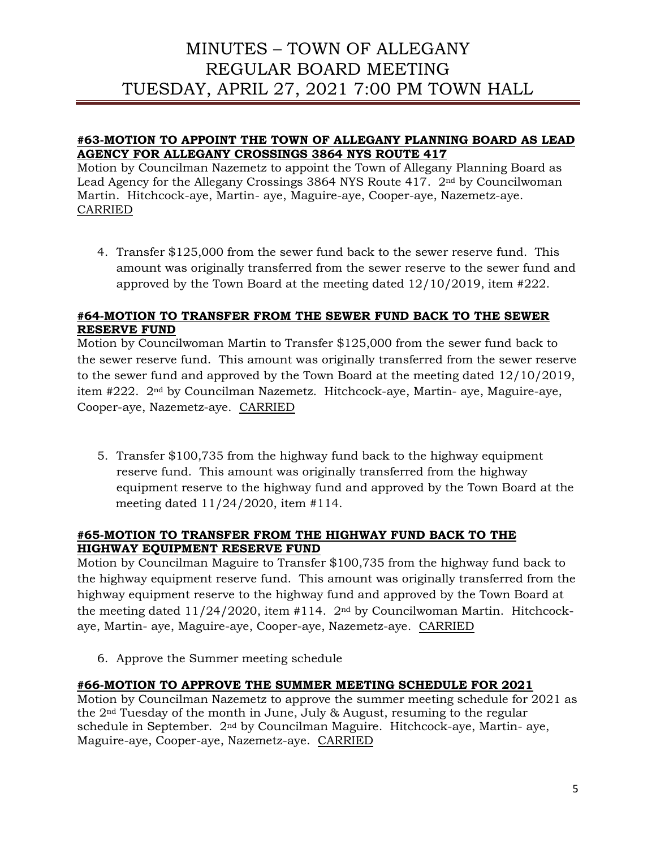### **#63-MOTION TO APPOINT THE TOWN OF ALLEGANY PLANNING BOARD AS LEAD AGENCY FOR ALLEGANY CROSSINGS 3864 NYS ROUTE 417**

Motion by Councilman Nazemetz to appoint the Town of Allegany Planning Board as Lead Agency for the Allegany Crossings 3864 NYS Route 417. 2nd by Councilwoman Martin. Hitchcock-aye, Martin- aye, Maguire-aye, Cooper-aye, Nazemetz-aye. CARRIED

4. Transfer \$125,000 from the sewer fund back to the sewer reserve fund. This amount was originally transferred from the sewer reserve to the sewer fund and approved by the Town Board at the meeting dated 12/10/2019, item #222.

## **#64-MOTION TO TRANSFER FROM THE SEWER FUND BACK TO THE SEWER RESERVE FUND**

Motion by Councilwoman Martin to Transfer \$125,000 from the sewer fund back to the sewer reserve fund. This amount was originally transferred from the sewer reserve to the sewer fund and approved by the Town Board at the meeting dated 12/10/2019, item #222. 2nd by Councilman Nazemetz. Hitchcock-aye, Martin- aye, Maguire-aye, Cooper-aye, Nazemetz-aye. CARRIED

5. Transfer \$100,735 from the highway fund back to the highway equipment reserve fund. This amount was originally transferred from the highway equipment reserve to the highway fund and approved by the Town Board at the meeting dated 11/24/2020, item #114.

#### **#65-MOTION TO TRANSFER FROM THE HIGHWAY FUND BACK TO THE HIGHWAY EQUIPMENT RESERVE FUND**

Motion by Councilman Maguire to Transfer \$100,735 from the highway fund back to the highway equipment reserve fund. This amount was originally transferred from the highway equipment reserve to the highway fund and approved by the Town Board at the meeting dated  $11/24/2020$ , item #114.  $2<sup>nd</sup>$  by Councilwoman Martin. Hitchcockaye, Martin- aye, Maguire-aye, Cooper-aye, Nazemetz-aye. CARRIED

6. Approve the Summer meeting schedule

## **#66-MOTION TO APPROVE THE SUMMER MEETING SCHEDULE FOR 2021**

Motion by Councilman Nazemetz to approve the summer meeting schedule for 2021 as the 2nd Tuesday of the month in June, July & August, resuming to the regular schedule in September. 2nd by Councilman Maguire. Hitchcock-aye, Martin- aye, Maguire-aye, Cooper-aye, Nazemetz-aye. CARRIED